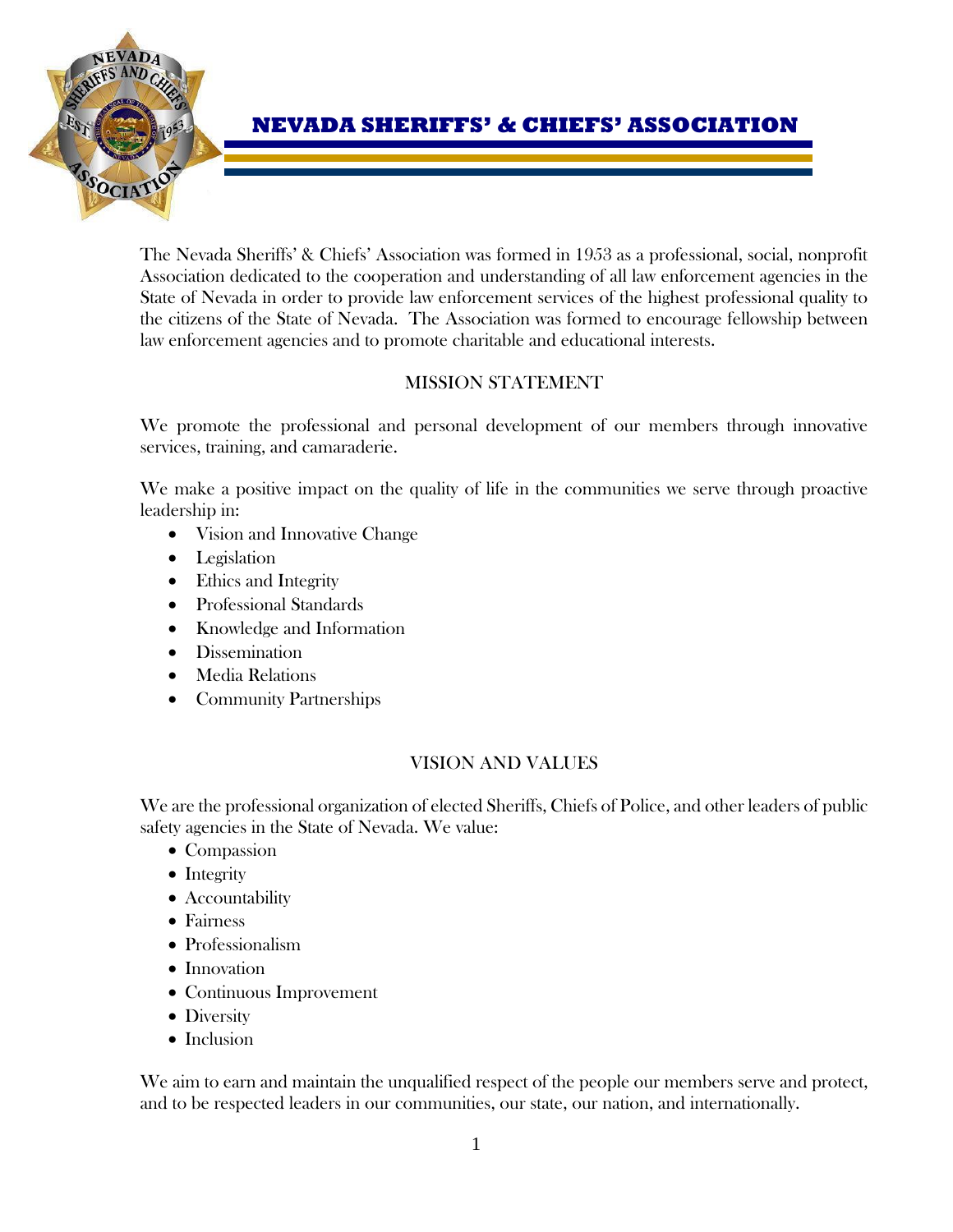

# **NEVADA SHERIFFS' & CHIEFS' ASSOCIATION**

The Nevada Sheriffs' & Chiefs' Association was formed in 1953 as a professional, social, nonprofit Association dedicated to the cooperation and understanding of all law enforcement agencies in the State of Nevada in order to provide law enforcement services of the highest professional quality to the citizens of the State of Nevada. The Association was formed to encourage fellowship between law enforcement agencies and to promote charitable and educational interests.

# MISSION STATEMENT

We promote the professional and personal development of our members through innovative services, training, and camaraderie.

We make a positive impact on the quality of life in the communities we serve through proactive leadership in:

- Vision and Innovative Change
- Legislation
- Ethics and Integrity
- Professional Standards
- Knowledge and Information
- Dissemination
- Media Relations
- Community Partnerships

# VISION AND VALUES

We are the professional organization of elected Sheriffs, Chiefs of Police, and other leaders of public safety agencies in the State of Nevada. We value:

- Compassion
- Integrity
- Accountability
- Fairness
- Professionalism
- Innovation
- Continuous Improvement
- Diversity
- Inclusion

We aim to earn and maintain the unqualified respect of the people our members serve and protect, and to be respected leaders in our communities, our state, our nation, and internationally.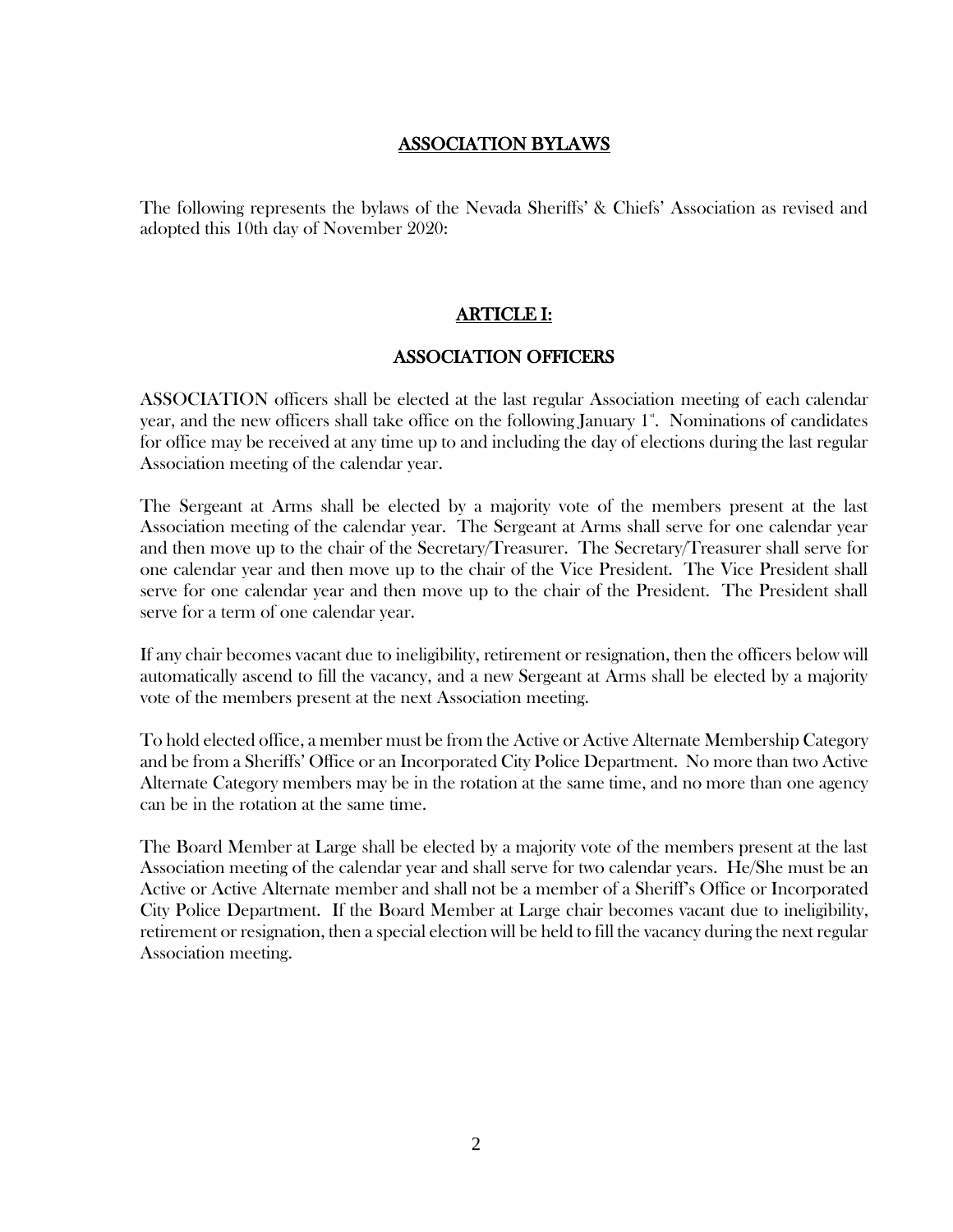# ASSOCIATION BYLAWS

The following represents the bylaws of the Nevada Sheriffs' & Chiefs' Association as revised and adopted this 10th day of November 2020:

# ARTICLE I:

#### ASSOCIATION OFFICERS

ASSOCIATION officers shall be elected at the last regular Association meeting of each calendar year, and the new officers shall take office on the following January  $1^*$ . Nominations of candidates for office may be received at any time up to and including the day of elections during the last regular Association meeting of the calendar year.

The Sergeant at Arms shall be elected by a majority vote of the members present at the last Association meeting of the calendar year. The Sergeant at Arms shall serve for one calendar year and then move up to the chair of the Secretary/Treasurer. The Secretary/Treasurer shall serve for one calendar year and then move up to the chair of the Vice President. The Vice President shall serve for one calendar year and then move up to the chair of the President. The President shall serve for a term of one calendar year.

If any chair becomes vacant due to ineligibility, retirement or resignation, then the officers below will automatically ascend to fill the vacancy, and a new Sergeant at Arms shall be elected by a majority vote of the members present at the next Association meeting.

To hold elected office, a member must be from the Active or Active Alternate Membership Category and be from a Sheriffs' Office or an Incorporated City Police Department. No more than two Active Alternate Category members may be in the rotation at the same time, and no more than one agency can be in the rotation at the same time.

The Board Member at Large shall be elected by a majority vote of the members present at the last Association meeting of the calendar year and shall serve for two calendar years. He/She must be an Active or Active Alternate member and shall not be a member of a Sheriff's Office or Incorporated City Police Department. If the Board Member at Large chair becomes vacant due to ineligibility, retirement or resignation, then a special election will be held to fill the vacancy during the next regular Association meeting.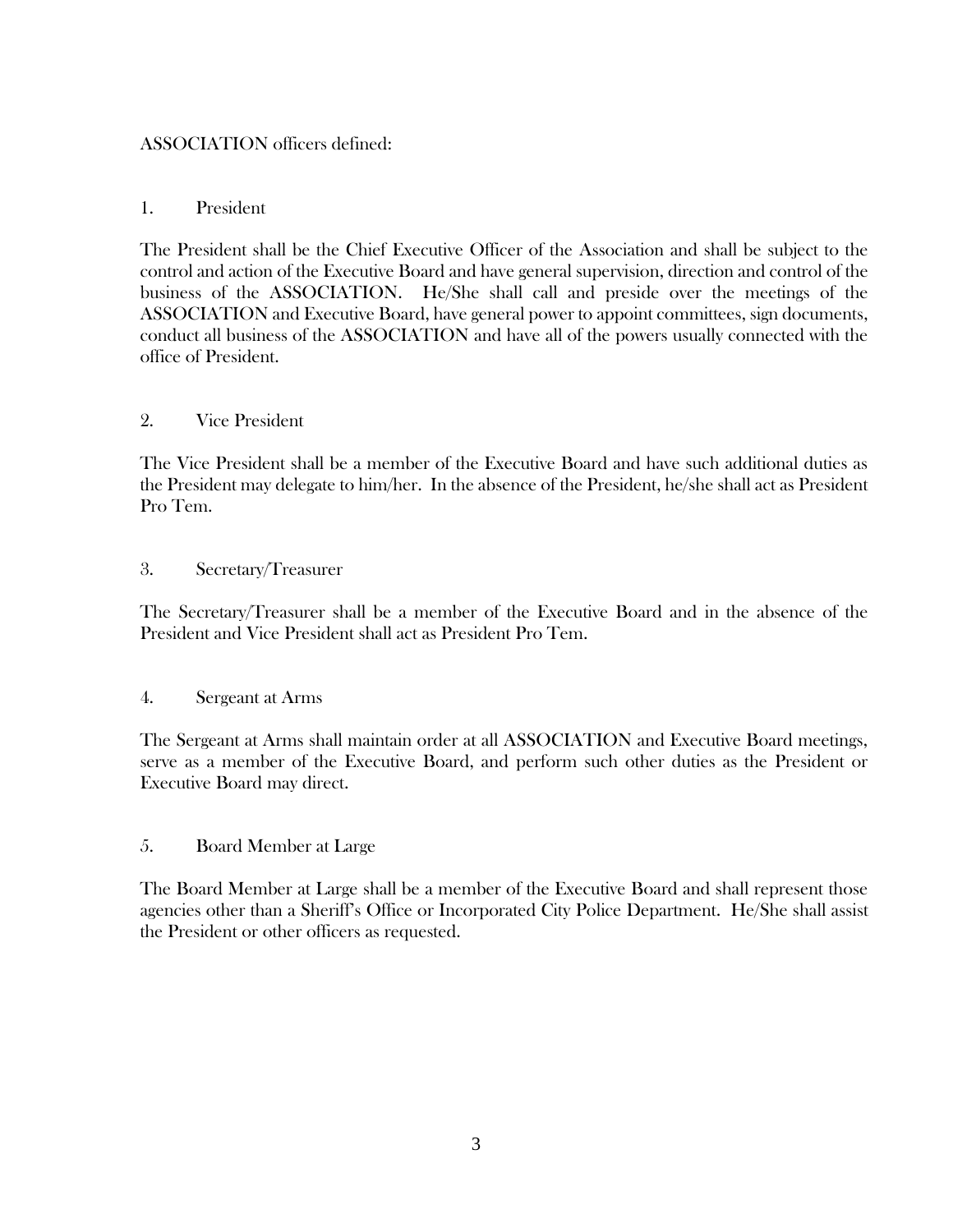# ASSOCIATION officers defined:

### 1. President

The President shall be the Chief Executive Officer of the Association and shall be subject to the control and action of the Executive Board and have general supervision, direction and control of the business of the ASSOCIATION. He/She shall call and preside over the meetings of the ASSOCIATION and Executive Board, have general power to appoint committees, sign documents, conduct all business of the ASSOCIATION and have all of the powers usually connected with the office of President.

# 2. Vice President

The Vice President shall be a member of the Executive Board and have such additional duties as the President may delegate to him/her. In the absence of the President, he/she shall act as President Pro Tem.

### 3. Secretary/Treasurer

The Secretary/Treasurer shall be a member of the Executive Board and in the absence of the President and Vice President shall act as President Pro Tem.

### 4. Sergeant at Arms

The Sergeant at Arms shall maintain order at all ASSOCIATION and Executive Board meetings, serve as a member of the Executive Board, and perform such other duties as the President or Executive Board may direct.

### 5. Board Member at Large

The Board Member at Large shall be a member of the Executive Board and shall represent those agencies other than a Sheriff's Office or Incorporated City Police Department. He/She shall assist the President or other officers as requested.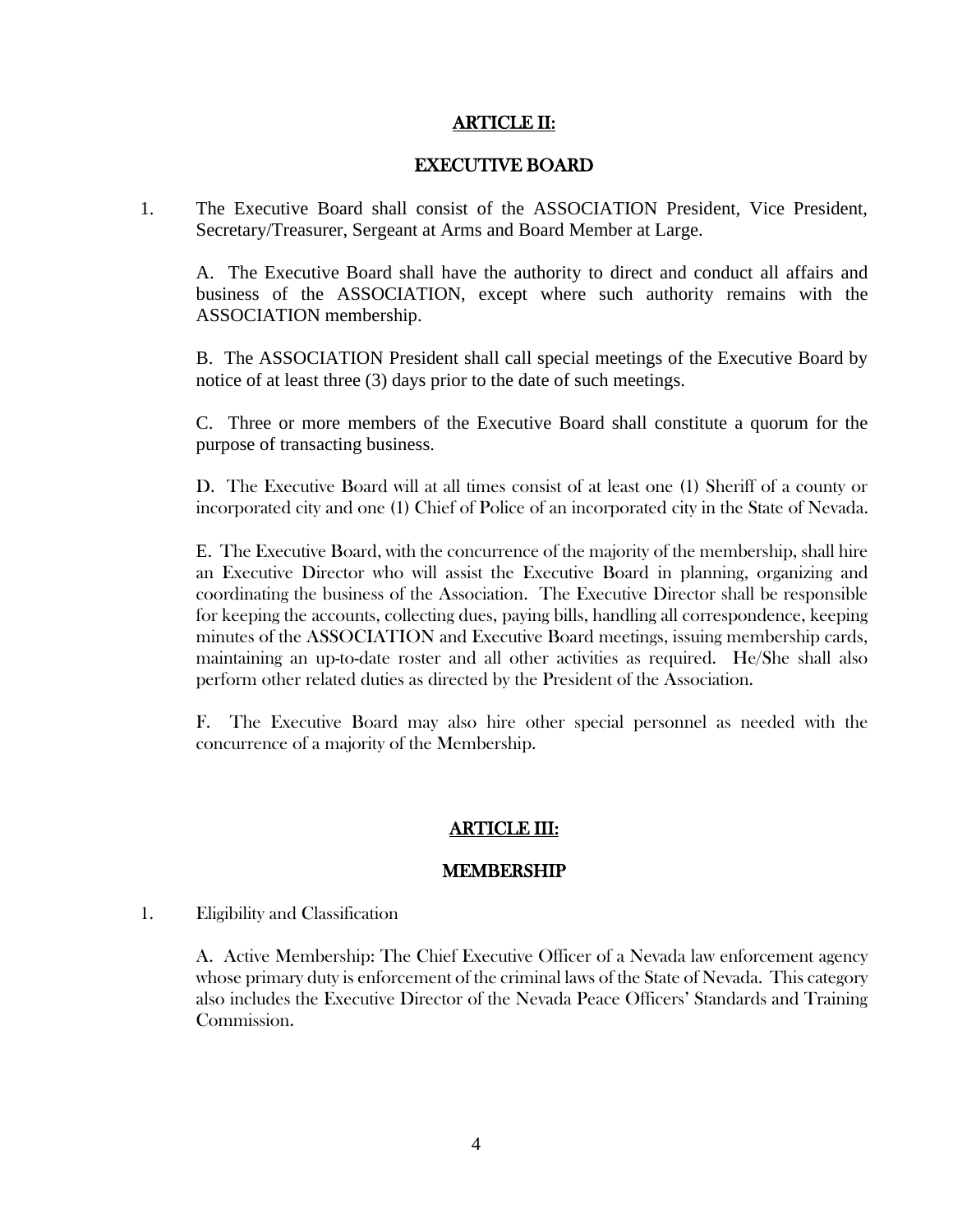### ARTICLE II:

#### EXECUTIVE BOARD

1. The Executive Board shall consist of the ASSOCIATION President, Vice President, Secretary/Treasurer, Sergeant at Arms and Board Member at Large.

A. The Executive Board shall have the authority to direct and conduct all affairs and business of the ASSOCIATION, except where such authority remains with the ASSOCIATION membership.

B. The ASSOCIATION President shall call special meetings of the Executive Board by notice of at least three (3) days prior to the date of such meetings.

C. Three or more members of the Executive Board shall constitute a quorum for the purpose of transacting business.

D. The Executive Board will at all times consist of at least one (1) Sheriff of a county or incorporated city and one (1) Chief of Police of an incorporated city in the State of Nevada.

E. The Executive Board, with the concurrence of the majority of the membership, shall hire an Executive Director who will assist the Executive Board in planning, organizing and coordinating the business of the Association. The Executive Director shall be responsible for keeping the accounts, collecting dues, paying bills, handling all correspondence, keeping minutes of the ASSOCIATION and Executive Board meetings, issuing membership cards, maintaining an up-to-date roster and all other activities as required. He/She shall also perform other related duties as directed by the President of the Association.

F. The Executive Board may also hire other special personnel as needed with the concurrence of a majority of the Membership.

### ARTICLE III:

#### MEMBERSHIP

1. Eligibility and Classification

A. Active Membership: The Chief Executive Officer of a Nevada law enforcement agency whose primary duty is enforcement of the criminal laws of the State of Nevada. This category also includes the Executive Director of the Nevada Peace Officers' Standards and Training Commission.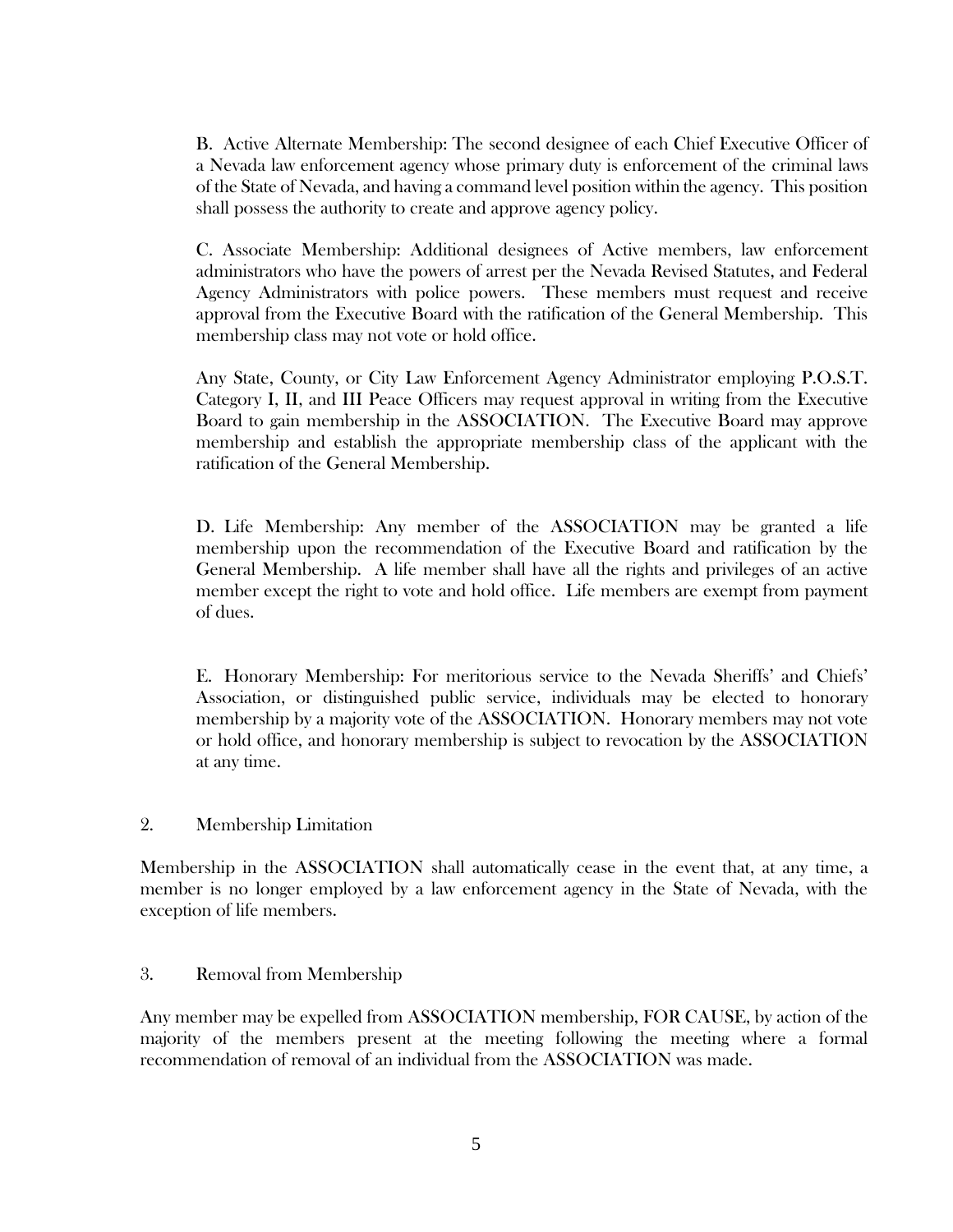B. Active Alternate Membership: The second designee of each Chief Executive Officer of a Nevada law enforcement agency whose primary duty is enforcement of the criminal laws of the State of Nevada, and having a command level position within the agency. This position shall possess the authority to create and approve agency policy.

C. Associate Membership: Additional designees of Active members, law enforcement administrators who have the powers of arrest per the Nevada Revised Statutes, and Federal Agency Administrators with police powers. These members must request and receive approval from the Executive Board with the ratification of the General Membership. This membership class may not vote or hold office.

Any State, County, or City Law Enforcement Agency Administrator employing P.O.S.T. Category I, II, and III Peace Officers may request approval in writing from the Executive Board to gain membership in the ASSOCIATION. The Executive Board may approve membership and establish the appropriate membership class of the applicant with the ratification of the General Membership.

D. Life Membership: Any member of the ASSOCIATION may be granted a life membership upon the recommendation of the Executive Board and ratification by the General Membership. A life member shall have all the rights and privileges of an active member except the right to vote and hold office. Life members are exempt from payment of dues.

E. Honorary Membership: For meritorious service to the Nevada Sheriffs' and Chiefs' Association, or distinguished public service, individuals may be elected to honorary membership by a majority vote of the ASSOCIATION. Honorary members may not vote or hold office, and honorary membership is subject to revocation by the ASSOCIATION at any time.

### 2. Membership Limitation

Membership in the ASSOCIATION shall automatically cease in the event that, at any time, a member is no longer employed by a law enforcement agency in the State of Nevada, with the exception of life members.

### 3. Removal from Membership

Any member may be expelled from ASSOCIATION membership, FOR CAUSE, by action of the majority of the members present at the meeting following the meeting where a formal recommendation of removal of an individual from the ASSOCIATION was made.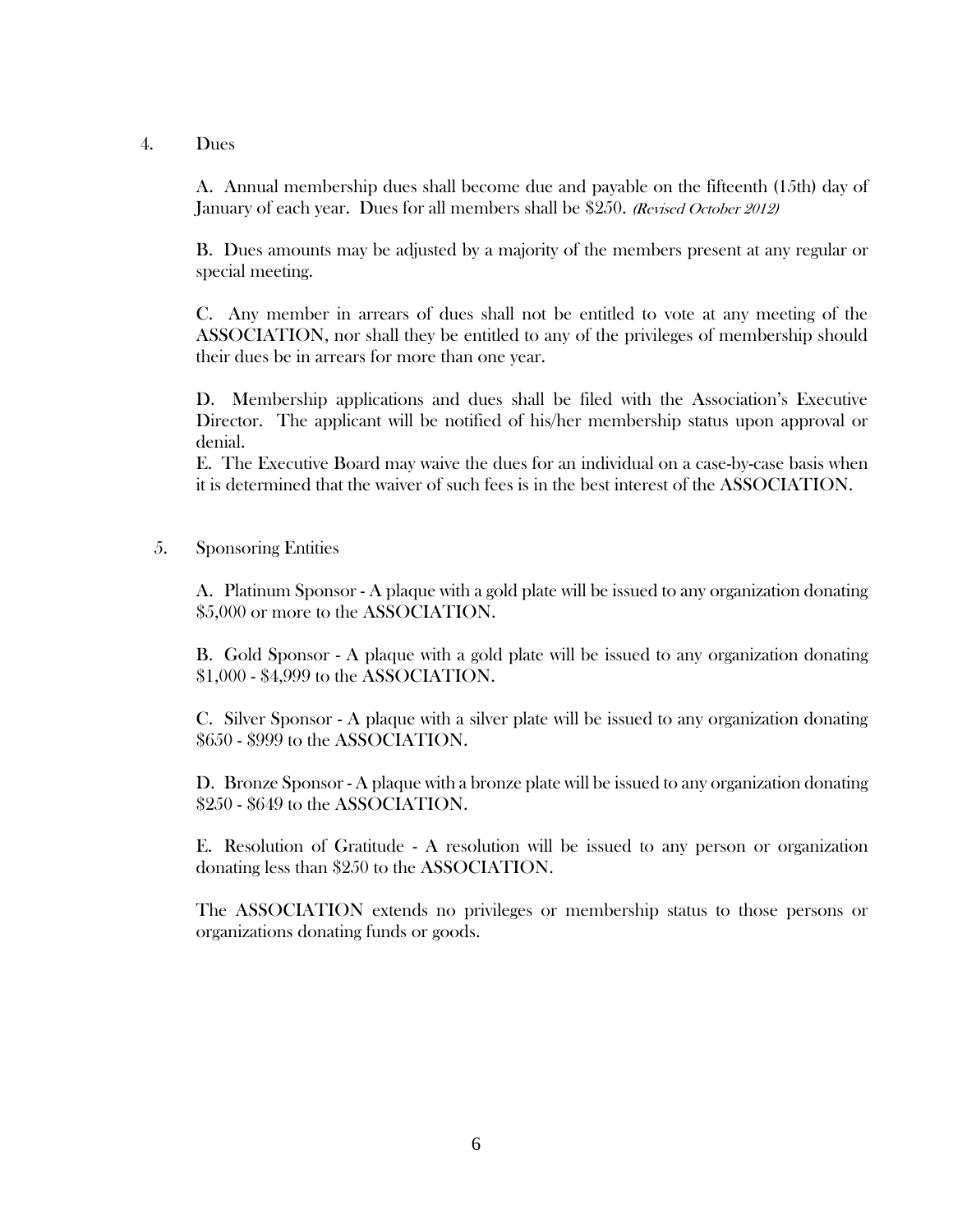### 4. Dues

A. Annual membership dues shall become due and payable on the fifteenth (15th) day of January of each year. Dues for all members shall be \$250. (Revised October 2012)

B. Dues amounts may be adjusted by a majority of the members present at any regular or special meeting.

C. Any member in arrears of dues shall not be entitled to vote at any meeting of the ASSOCIATION, nor shall they be entitled to any of the privileges of membership should their dues be in arrears for more than one year.

D. Membership applications and dues shall be filed with the Association's Executive Director. The applicant will be notified of his/her membership status upon approval or denial.

E. The Executive Board may waive the dues for an individual on a case-by-case basis when it is determined that the waiver of such fees is in the best interest of the ASSOCIATION.

#### 5. Sponsoring Entities

A. Platinum Sponsor - A plaque with a gold plate will be issued to any organization donating \$5,000 or more to the ASSOCIATION.

B. Gold Sponsor - A plaque with a gold plate will be issued to any organization donating \$1,000 - \$4,999 to the ASSOCIATION.

C. Silver Sponsor - A plaque with a silver plate will be issued to any organization donating \$650 - \$999 to the ASSOCIATION.

D. Bronze Sponsor - A plaque with a bronze plate will be issued to any organization donating \$250 - \$649 to the ASSOCIATION.

E. Resolution of Gratitude - A resolution will be issued to any person or organization donating less than \$250 to the ASSOCIATION.

The ASSOCIATION extends no privileges or membership status to those persons or organizations donating funds or goods.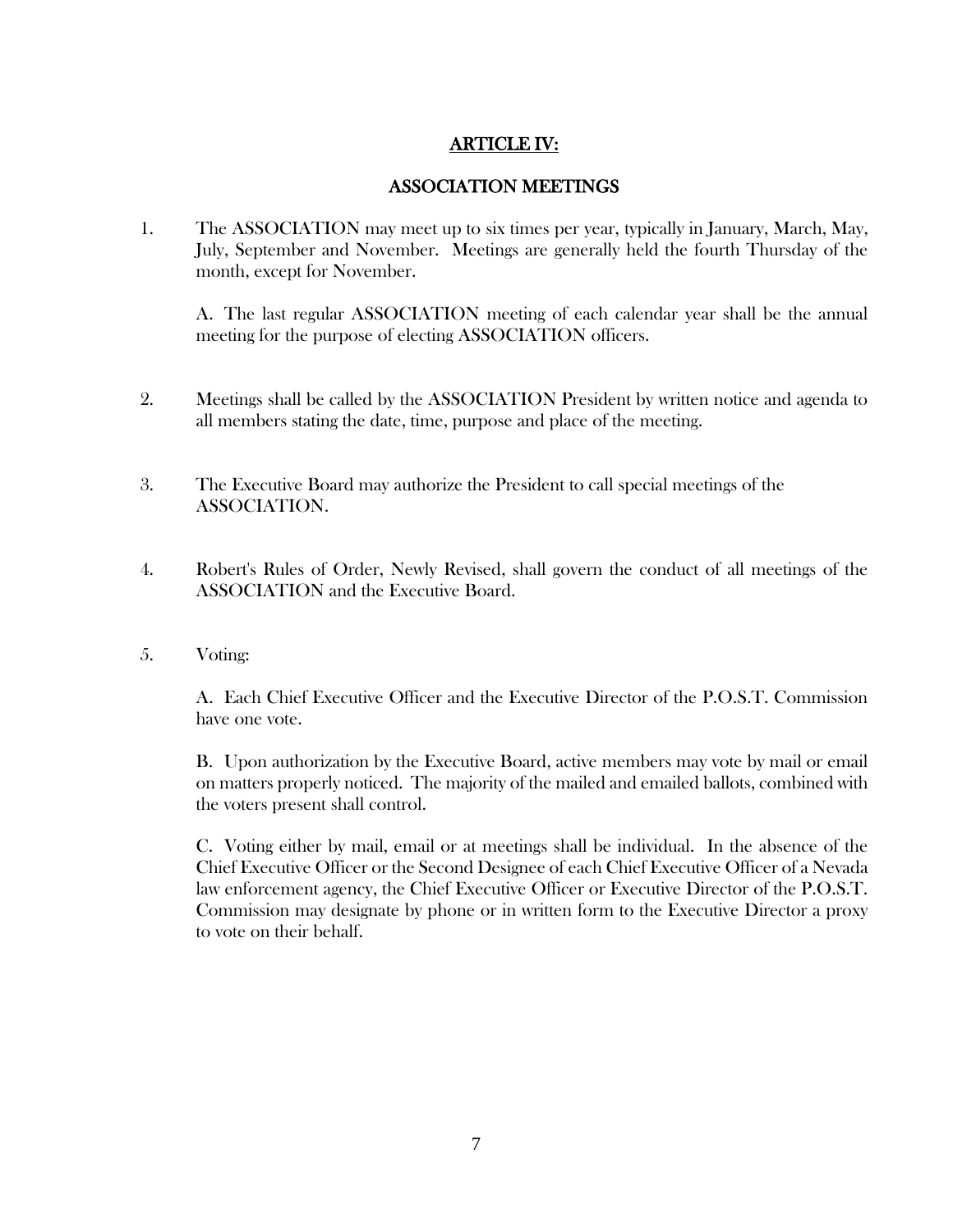# ARTICLE IV:

# ASSOCIATION MEETINGS

1. The ASSOCIATION may meet up to six times per year, typically in January, March, May, July, September and November. Meetings are generally held the fourth Thursday of the month, except for November.

A. The last regular ASSOCIATION meeting of each calendar year shall be the annual meeting for the purpose of electing ASSOCIATION officers.

- 2. Meetings shall be called by the ASSOCIATION President by written notice and agenda to all members stating the date, time, purpose and place of the meeting.
- 3. The Executive Board may authorize the President to call special meetings of the ASSOCIATION.
- 4. Robert's Rules of Order, Newly Revised, shall govern the conduct of all meetings of the ASSOCIATION and the Executive Board.
- 5. Voting:

A. Each Chief Executive Officer and the Executive Director of the P.O.S.T. Commission have one vote.

B. Upon authorization by the Executive Board, active members may vote by mail or email on matters properly noticed. The majority of the mailed and emailed ballots, combined with the voters present shall control.

C. Voting either by mail, email or at meetings shall be individual. In the absence of the Chief Executive Officer or the Second Designee of each Chief Executive Officer of a Nevada law enforcement agency, the Chief Executive Officer or Executive Director of the P.O.S.T. Commission may designate by phone or in written form to the Executive Director a proxy to vote on their behalf.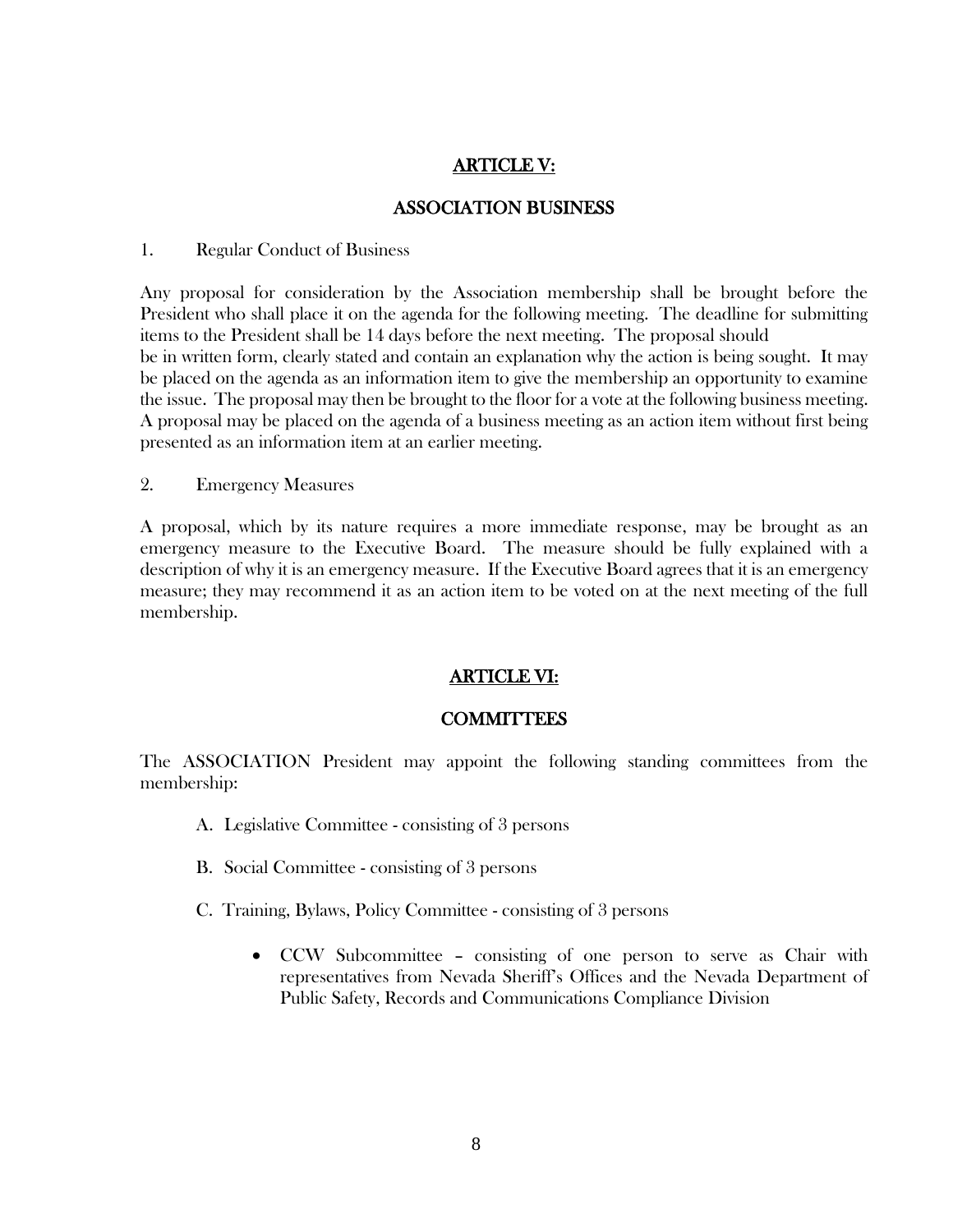# ARTICLE V:

### ASSOCIATION BUSINESS

#### 1. Regular Conduct of Business

Any proposal for consideration by the Association membership shall be brought before the President who shall place it on the agenda for the following meeting. The deadline for submitting items to the President shall be 14 days before the next meeting. The proposal should be in written form, clearly stated and contain an explanation why the action is being sought. It may be placed on the agenda as an information item to give the membership an opportunity to examine the issue. The proposal may then be brought to the floor for a vote at the following business meeting. A proposal may be placed on the agenda of a business meeting as an action item without first being presented as an information item at an earlier meeting.

2. Emergency Measures

A proposal, which by its nature requires a more immediate response, may be brought as an emergency measure to the Executive Board. The measure should be fully explained with a description of why it is an emergency measure. If the Executive Board agrees that it is an emergency measure; they may recommend it as an action item to be voted on at the next meeting of the full membership.

# ARTICLE VI:

# **COMMITTEES**

The ASSOCIATION President may appoint the following standing committees from the membership:

- A. Legislative Committee consisting of 3 persons
- B. Social Committee consisting of 3 persons
- C. Training, Bylaws, Policy Committee consisting of 3 persons
	- CCW Subcommittee consisting of one person to serve as Chair with representatives from Nevada Sheriff's Offices and the Nevada Department of Public Safety, Records and Communications Compliance Division